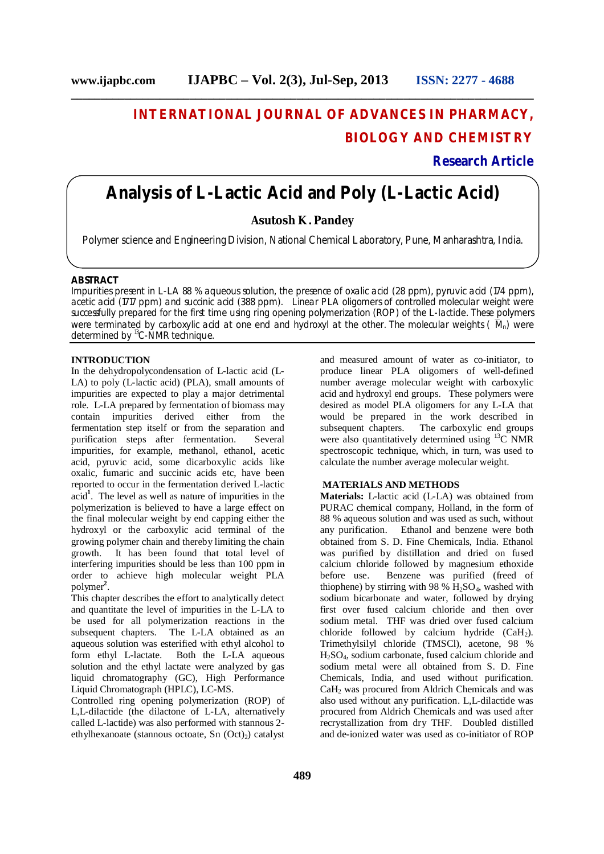# **INTERNATIONAL JOURNAL OF ADVANCES IN PHARMACY, BIOLOGY AND CHEMISTRY**

**Research Article**

# **Analysis of L-Lactic Acid and Poly (L-Lactic Acid)**

**\_\_\_\_\_\_\_\_\_\_\_\_\_\_\_\_\_\_\_\_\_\_\_\_\_\_\_\_\_\_\_\_\_\_\_\_\_\_\_\_\_\_\_\_\_\_\_\_\_\_\_\_\_\_\_\_\_\_\_\_\_\_\_\_\_\_\_\_\_\_\_\_\_\_\_\_\_\_**

# **Asutosh K . Pandey**

Polymer science and Engineering Division, National Chemical Laboratory, Pune, Manharashtra, India.

## **ABSTRACT**

Impurities present in L-LA 88 % aqueous solution, the presence of oxalic acid (28 ppm), pyruvic acid (174 ppm), acetic acid (1717 ppm) and succinic acid (388 ppm). Linear PLA oligomers of controlled molecular weight were successfully prepared for the first time using ring opening polymerization (ROP) of the L-lactide. These polymers were terminated by carboxylic acid at one end and hydroxyl at the other. The molecular weights ( $\overline{M}_n$ ) were determined by <sup>13</sup>C-NMR technique.

# **INTRODUCTION**

In the dehydropolycondensation of L-lactic acid (L-LA) to poly (L-lactic acid) (PLA), small amounts of impurities are expected to play a major detrimental role. L-LA prepared by fermentation of biomass may contain impurities derived either from the fermentation step itself or from the separation and<br>purification steps after fermentation. Several purification steps after fermentation. impurities, for example, methanol, ethanol, acetic acid, pyruvic acid, some dicarboxylic acids like oxalic, fumaric and succinic acids etc, have been reported to occur in the fermentation derived L-lactic acid**<sup>1</sup>** . The level as well as nature of impurities in the polymerization is believed to have a large effect on the final molecular weight by end capping either the hydroxyl or the carboxylic acid terminal of the growing polymer chain and thereby limiting the chain<br>growth. It has been found that total level of It has been found that total level of interfering impurities should be less than 100 ppm in order to achieve high molecular weight PLA polymer**<sup>2</sup>** .

This chapter describes the effort to analytically detect and quantitate the level of impurities in the L-LA to be used for all polymerization reactions in the subsequent chapters. The L-LA obtained as an aqueous solution was esterified with ethyl alcohol to form ethyl L-lactate. Both the L-LA aqueous solution and the ethyl lactate were analyzed by gas liquid chromatography (GC), High Performance Liquid Chromatograph (HPLC), LC-MS.

Controlled ring opening polymerization (ROP) of L,L-dilactide (the dilactone of L-LA, alternatively called L-lactide) was also performed with stannous 2 ethylhexanoate (stannous octoate, Sn  $(Oct_2)$ ) catalyst

and measured amount of water as co-initiator, to produce linear PLA oligomers of well-defined number average molecular weight with carboxylic acid and hydroxyl end groups. These polymers were desired as model PLA oligomers for any L-LA that would be prepared in the work described in subsequent chapters. The carboxylic end groups The carboxylic end groups. were also quantitatively determined using <sup>13</sup>C NMR spectroscopic technique, which, in turn, was used to calculate the number average molecular weight.

# **MATERIALS AND METHODS**

**Materials:** L-lactic acid (L-LA) was obtained from PURAC chemical company, Holland, in the form of 88 % aqueous solution and was used as such, without any purification. Ethanol and benzene were both obtained from S. D. Fine Chemicals, India. Ethanol was purified by distillation and dried on fused calcium chloride followed by magnesium ethoxide before use. Benzene was purified (freed of thiophene) by stirring with 98 %  $\hat{H}_2SO_4$ , washed with sodium bicarbonate and water, followed by drying first over fused calcium chloride and then over sodium metal. THF was dried over fused calcium chloride followed by calcium hydride (CaH2). Trimethylsilyl chloride (TMSCl), acetone, 98 % H2SO4, sodium carbonate, fused calcium chloride and sodium metal were all obtained from S. D. Fine Chemicals, India, and used without purification. CaH<sub>2</sub> was procured from Aldrich Chemicals and was also used without any purification. L,L-dilactide was procured from Aldrich Chemicals and was used after recrystallization from dry THF. Doubled distilled and de-ionized water was used as co-initiator of ROP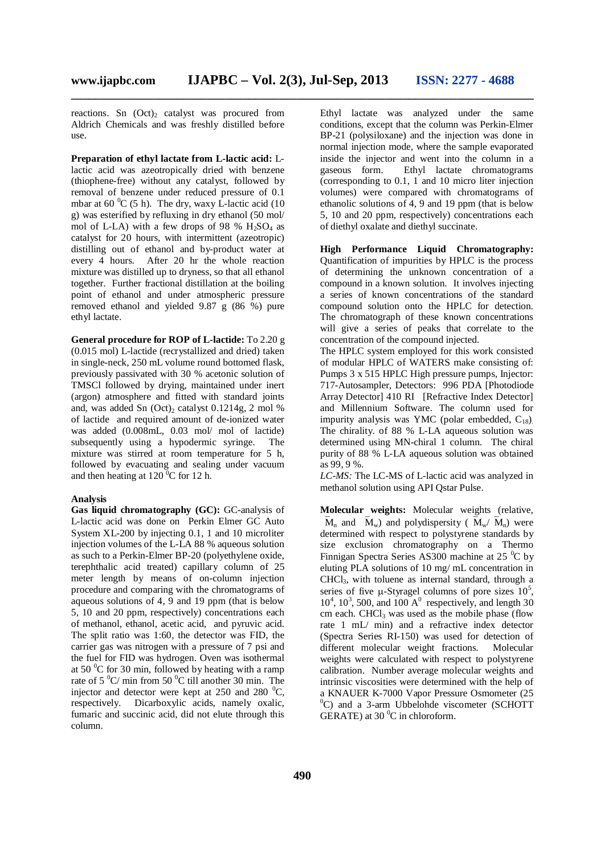reactions. Sn  $(Oct)_2$  catalyst was procured from Aldrich Chemicals and was freshly distilled before use.

**Preparation of ethyl lactate from L-lactic acid:** Llactic acid was azeotropically dried with benzene (thiophene-free) without any catalyst, followed by removal of benzene under reduced pressure of 0.1 mbar at  $60^{\circ}$ C (5 h). The dry, waxy L-lactic acid (10) g) was esterified by refluxing in dry ethanol (50 mol/ mol of L-LA) with a few drops of 98 %  $H<sub>2</sub>SO<sub>4</sub>$  as catalyst for 20 hours, with intermittent (azeotropic) distilling out of ethanol and by-product water at every 4 hours. After 20 hr the whole reaction mixture was distilled up to dryness, so that all ethanol together. Further fractional distillation at the boiling point of ethanol and under atmospheric pressure removed ethanol and yielded 9.87 g (86 %) pure ethyl lactate.

**General procedure for ROP of L-lactide:** To 2.20 g (0.015 mol) L-lactide (recrystallized and dried) taken in single-neck, 250 mL volume round bottomed flask, previously passivated with 30 % acetonic solution of TMSCl followed by drying, maintained under inert (argon) atmosphere and fitted with standard joints and, was added Sn  $(Oct)_2$  catalyst 0.1214g, 2 mol % of lactide and required amount of de-ionized water was added (0.008mL, 0.03 mol/ mol of lactide) subsequently using a hypodermic syringe. The mixture was stirred at room temperature for 5 h, followed by evacuating and sealing under vacuum and then heating at  $120<sup>0</sup>C$  for 12 h.

#### **Analysis**

**Gas liquid chromatography (GC):** GC-analysis of L-lactic acid was done on Perkin Elmer GC Auto System XL-200 by injecting 0.1, 1 and 10 microliter injection volumes of the L-LA 88 % aqueous solution as such to a Perkin-Elmer BP-20 (polyethylene oxide, terephthalic acid treated) capillary column of 25 meter length by means of on-column injection procedure and comparing with the chromatograms of aqueous solutions of 4, 9 and 19 ppm (that is below 5, 10 and 20 ppm, respectively) concentrations each of methanol, ethanol, acetic acid, and pyruvic acid. The split ratio was 1:60, the detector was FID, the carrier gas was nitrogen with a pressure of 7 psi and the fuel for FID was hydrogen. Oven was isothermal at  $50<sup>0</sup>C$  for 30 min, followed by heating with a ramp rate of  $5\degree C$  min from  $50\degree C$  till another 30 min. The injector and detector were kept at  $250$  and  $280\text{ °C}$ . respectively. Dicarboxylic acids, namely oxalic, fumaric and succinic acid, did not elute through this column.

Ethyl lactate was analyzed under the same conditions, except that the column was Perkin-Elmer BP-21 (polysiloxane) and the injection was done in normal injection mode, where the sample evaporated inside the injector and went into the column in a gaseous form. Ethyl lactate chromatograms (corresponding to 0.1, 1 and 10 micro liter injection volumes) were compared with chromatograms of ethanolic solutions of 4, 9 and 19 ppm (that is below 5, 10 and 20 ppm, respectively) concentrations each of diethyl oxalate and diethyl succinate.

**High Performance Liquid Chromatography:** Quantification of impurities by HPLC is the process of determining the unknown concentration of a compound in a known solution. It involves injecting a series of known concentrations of the standard compound solution onto the HPLC for detection. The chromatograph of these known concentrations will give a series of peaks that correlate to the concentration of the compound injected.

The HPLC system employed for this work consisted of modular HPLC of WATERS make consisting of: Pumps 3 x 515 HPLC High pressure pumps, Injector: 717-Autosampler, Detectors: 996 PDA [Photodiode Array Detector] 410 RI [Refractive Index Detector] and Millennium Software. The column used for impurity analysis was YMC (polar embedded,  $C_{18}$ ). The chirality. of 88 % L-LA aqueous solution was determined using MN-chiral 1 column. The chiral purity of 88 % L-LA aqueous solution was obtained as 99, 9 %.

*LC-MS:* The LC-MS of L-lactic acid was analyzed in methanol solution using API Qstar Pulse.

**Molecular weights:** Molecular weights (relative,  $\overline{M}_n$  and  $\overline{M}_w$ ) and polydispersity ( $\overline{M}_w/\overline{M}_n$ ) were determined with respect to polystyrene standards by size exclusion chromatography on a Thermo Finnigan Spectra Series AS300 machine at 25 $\mathrm{^0C}$  by eluting PLA solutions of 10 mg/ mL concentration in CHCl3, with toluene as internal standard, through a series of five  $\mu$ -Styragel columns of pore sizes  $10^5$ ,  $10^4$ ,  $10^3$ , 500, and  $100 \text{ A}^0$  respectively, and length 30 cm each.  $CHCl<sub>3</sub>$  was used as the mobile phase (flow rate 1 mL/ min) and a refractive index detector (Spectra Series RI-150) was used for detection of different molecular weight fractions. Molecular weights were calculated with respect to polystyrene calibration. Number average molecular weights and intrinsic viscosities were determined with the help of a KNAUER K-7000 Vapor Pressure Osmometer (25  $^{0}$ C) and a 3-arm Ubbelohde viscometer (SCHOTT GERATE) at 30 $\mathrm{^0C}$  in chloroform.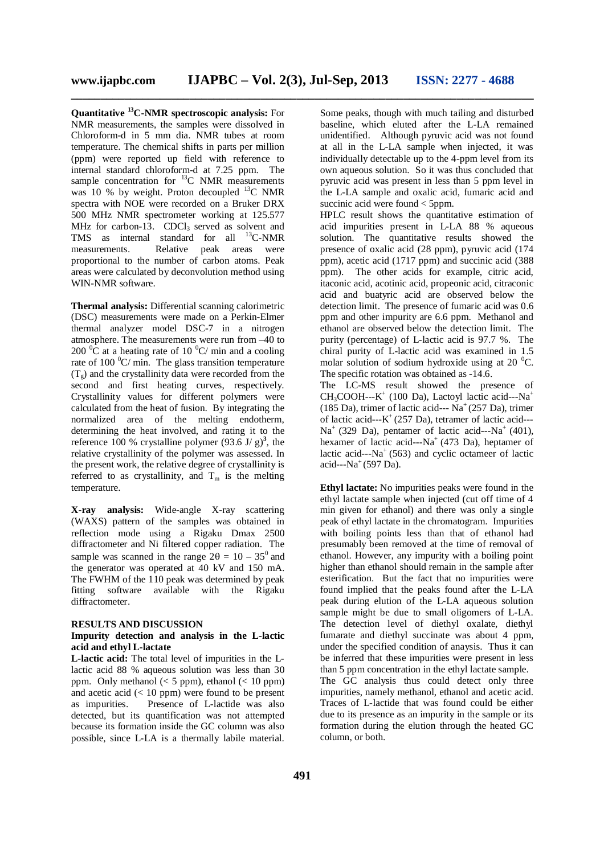**Quantitative <sup>13</sup>C-NMR spectroscopic analysis:** For NMR measurements, the samples were dissolved in Chloroform-d in 5 mm dia. NMR tubes at room temperature. The chemical shifts in parts per million (ppm) were reported up field with reference to internal standard chloroform-d at 7.25 ppm. The sample concentration for  ${}^{13}C$  NMR measurements was 10 % by weight. Proton decoupled <sup>13</sup>C NMR spectra with NOE were recorded on a Bruker DRX 500 MHz NMR spectrometer working at 125.577 MHz for carbon-13.  $CDCl<sub>3</sub>$  served as solvent and TMS as internal standard for all  $^{13}$ C-NMR measurements. Relative peak areas were proportional to the number of carbon atoms. Peak areas were calculated by deconvolution method using WIN-NMR software.

**Thermal analysis:** Differential scanning calorimetric (DSC) measurements were made on a Perkin-Elmer thermal analyzer model DSC-7 in a nitrogen atmosphere. The measurements were run from –40 to 200  $\rm{^0C}$  at a heating rate of 10  $\rm{^0C/}$  min and a cooling rate of 100  $^{\circ}$ C/ min. The glass transition temperature  $(T<sub>g</sub>)$  and the crystallinity data were recorded from the second and first heating curves, respectively. Crystallinity values for different polymers were calculated from the heat of fusion. By integrating the normalized area of the melting endotherm, determining the heat involved, and rating it to the reference 100 % crystalline polymer  $(93.6 \text{ J}/ \text{ g})^3$ , the relative crystallinity of the polymer was assessed. In the present work, the relative degree of crystallinity is referred to as crystallinity, and  $T_m$  is the melting temperature.

**X-ray analysis:** Wide-angle X-ray scattering (WAXS) pattern of the samples was obtained in reflection mode using a Rigaku Dmax 2500 diffractometer and Ni filtered copper radiation. The sample was scanned in the range  $2\theta = 10 - 35^{\circ}$  and the generator was operated at 40 kV and 150 mA. The FWHM of the 110 peak was determined by peak fitting software available with the Rigaku diffractometer.

## **RESULTS AND DISCUSSION**

## **Impurity detection and analysis in the L-lactic acid and ethyl L-lactate**

**L-lactic acid:** The total level of impurities in the Llactic acid 88 % aqueous solution was less than 30 ppm. Only methanol  $(< 5$  ppm), ethanol  $(< 10$  ppm) and acetic acid  $(< 10$  ppm) were found to be present as impurities. Presence of L-lactide was also detected, but its quantification was not attempted because its formation inside the GC column was also possible, since L-LA is a thermally labile material.

Some peaks, though with much tailing and disturbed baseline, which eluted after the L-LA remained unidentified. Although pyruvic acid was not found at all in the L-LA sample when injected, it was individually detectable up to the 4-ppm level from its own aqueous solution. So it was thus concluded that pyruvic acid was present in less than 5 ppm level in the L-LA sample and oxalic acid, fumaric acid and succinic acid were found < 5ppm.

HPLC result shows the quantitative estimation of acid impurities present in L-LA 88 % aqueous solution. The quantitative results showed the presence of oxalic acid (28 ppm), pyruvic acid (174 ppm), acetic acid (1717 ppm) and succinic acid (388 ppm). The other acids for example, citric acid, itaconic acid, acotinic acid, propeonic acid, citraconic acid and buatyric acid are observed below the detection limit. The presence of fumaric acid was 0.6 ppm and other impurity are 6.6 ppm. Methanol and ethanol are observed below the detection limit. The purity (percentage) of L-lactic acid is 97.7 %. The chiral purity of L-lactic acid was examined in 1.5 molar solution of sodium hydroxide using at 20 $\mathrm{^0C}$ . The specific rotation was obtained as -14.6.

The LC-MS result showed the presence of CH<sub>3</sub>COOH---K<sup>+</sup> (100 Da), Lactoyl lactic acid---Na<sup>+</sup> (185 Da), trimer of lactic acid---  $Na<sup>+</sup>(257 Da)$ , trimer of lactic acid---K <sup>+</sup>(257 Da), tetramer of lactic acid---  $Na<sup>+</sup>$  (329 Da), pentamer of lactic acid---Na<sup>+</sup> (401), hexamer of lactic acid---Na<sup>+</sup> (473 Da), heptamer of lactic acid--- $Na<sup>+</sup>$  (563) and cyclic octameer of lactic acid--- $Na<sup>+</sup>$  (597 Da).

**Ethyl lactate:** No impurities peaks were found in the ethyl lactate sample when injected (cut off time of 4 min given for ethanol) and there was only a single peak of ethyl lactate in the chromatogram. Impurities with boiling points less than that of ethanol had presumably been removed at the time of removal of ethanol. However, any impurity with a boiling point higher than ethanol should remain in the sample after esterification. But the fact that no impurities were found implied that the peaks found after the L-LA peak during elution of the L-LA aqueous solution sample might be due to small oligomers of L-LA. The detection level of diethyl oxalate, diethyl fumarate and diethyl succinate was about 4 ppm. under the specified condition of anaysis. Thus it can be inferred that these impurities were present in less than 5 ppm concentration in the ethyl lactate sample. The GC analysis thus could detect only three impurities, namely methanol, ethanol and acetic acid. Traces of L-lactide that was found could be either due to its presence as an impurity in the sample or its formation during the elution through the heated GC column, or both.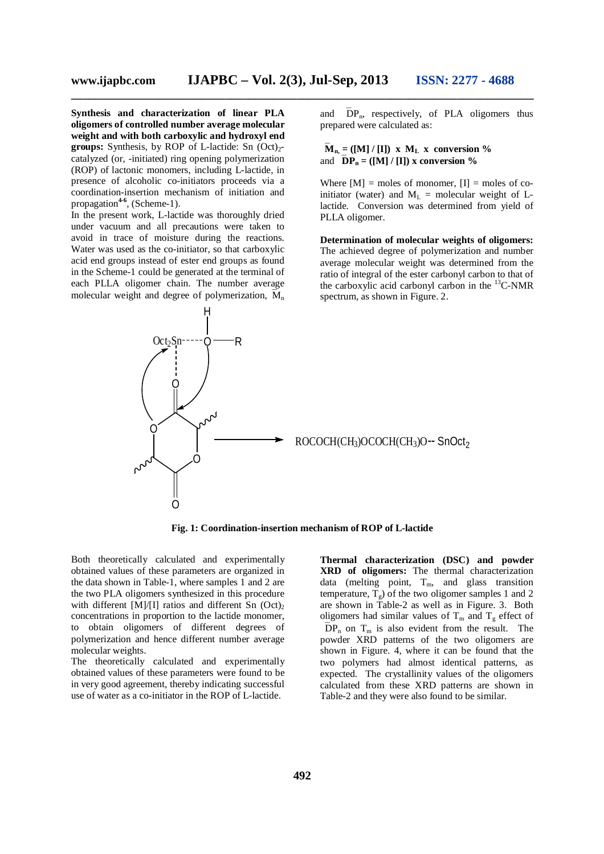**Synthesis and characterization of linear PLA oligomers of controlled number average molecular weight and with both carboxylic and hydroxyl end groups:** Synthesis, by ROP of L-lactide: Sn  $(Oct)<sub>2</sub>$ catalyzed (or, -initiated) ring opening polymerization (ROP) of lactonic monomers, including L-lactide, in presence of alcoholic co-initiators proceeds via a coordination-insertion mechanism of initiation and propagation**4-6** , (Scheme-1).

In the present work, L-lactide was thoroughly dried under vacuum and all precautions were taken to avoid in trace of moisture during the reactions. Water was used as the co-initiator, so that carboxylic acid end groups instead of ester end groups as found in the Scheme-1 could be generated at the terminal of each PLLA oligomer chain. The number average molecular weight and degree of polymerization,  $M_n$  and  $\overline{DP}_n$ , respectively, of PLA oligomers thus prepared were calculated as:

 $\overline{\mathbf{M}}_{n}$  = ([M] / [I]) x  $\mathbf{M}_{\mathbf{L}}$  x conversion % and  $\overline{D}P_n = (\textbf{[}M\textbf{]} / \textbf{[} \textbf{I}\textbf{]})$  x conversion %

Where  $[M]$  = moles of monomer,  $[I]$  = moles of coinitiator (water) and  $M_L$  = molecular weight of Llactide. Conversion was determined from yield of PLLA oligomer.

**Determination of molecular weights of oligomers:** The achieved degree of polymerization and number average molecular weight was determined from the ratio of integral of the ester carbonyl carbon to that of the carboxylic acid carbonyl carbon in the  ${}^{13}$ C-NMR spectrum, as shown in Figure. 2.



**Fig. 1: Coordination-insertion mechanism of ROP of L-lactide**

Both theoretically calculated and experimentally obtained values of these parameters are organized in the data shown in Table-1, where samples 1 and 2 are the two PLA oligomers synthesized in this procedure with different [M]/[I] ratios and different Sn  $(Oct)_2$ concentrations in proportion to the lactide monomer, to obtain oligomers of different degrees of polymerization and hence different number average molecular weights.

The theoretically calculated and experimentally obtained values of these parameters were found to be in very good agreement, thereby indicating successful use of water as a co-initiator in the ROP of L-lactide.

**Thermal characterization (DSC) and powder XRD of oligomers:** The thermal characterization data (melting point,  $T_m$ , and glass transition temperature,  $T<sub>g</sub>$ ) of the two oligomer samples 1 and 2 are shown in Table-2 as well as in Figure. 3. Both oligomers had similar values of  $T_m$  and  $T_g$  effect of  $\overline{D}P_n$  on  $T_m$  is also evident from the result. The powder XRD patterns of the two oligomers are shown in Figure. 4, where it can be found that the two polymers had almost identical patterns, as expected. The crystallinity values of the oligomers calculated from these XRD patterns are shown in Table-2 and they were also found to be similar.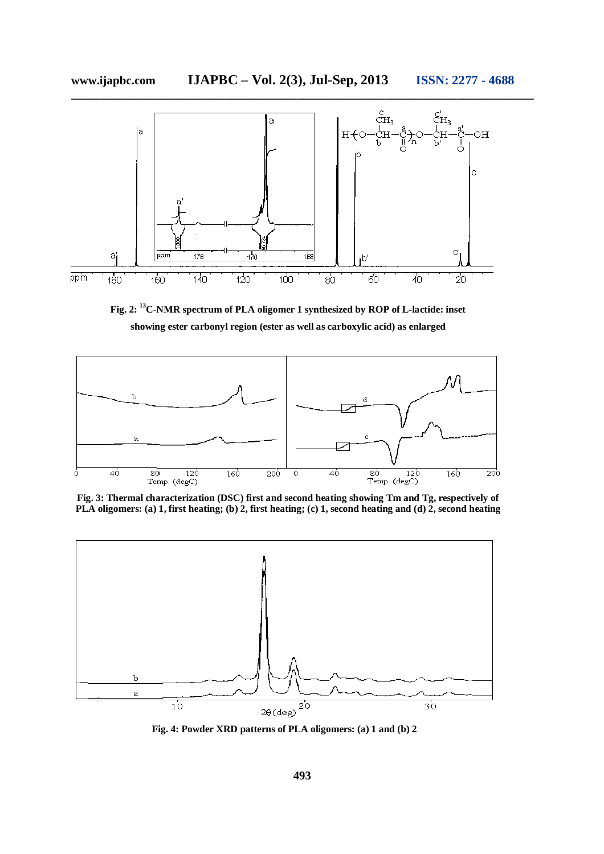

**Fig. 2: <sup>13</sup>C-NMR spectrum of PLA oligomer 1 synthesized by ROP of L-lactide: inset showing ester carbonyl region (ester as well as carboxylic acid) as enlarged**



**Fig. 3: Thermal characterization (DSC) first and second heating showing Tm and Tg, respectively of PLA oligomers: (a) 1, first heating; (b) 2, first heating; (c) 1, second heating and (d) 2, second heating**



**Fig. 4: Powder XRD patterns of PLA oligomers: (a) 1 and (b) 2**